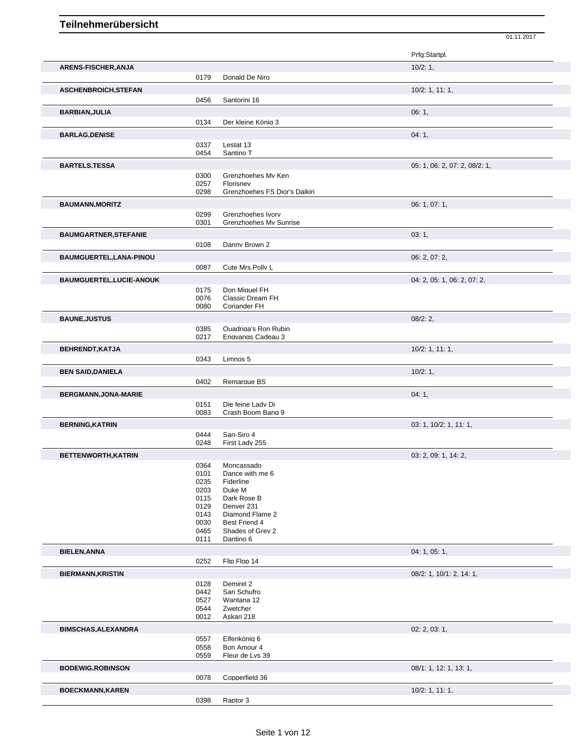|                                                                               |              |                                                | Prfg:Startpl.                 |
|-------------------------------------------------------------------------------|--------------|------------------------------------------------|-------------------------------|
| ARENS-FISCHER, ANJA                                                           |              |                                                | 10/2:1,                       |
|                                                                               | 0179         | Donald De Niro                                 |                               |
| <b>ASCHENBROICH, STEFAN</b>                                                   |              |                                                | $10/2$ : 1, 11: 1,            |
|                                                                               | 0456         | Santorini 16                                   |                               |
| BARBIAN, JULIA                                                                |              |                                                | 06:1,                         |
|                                                                               | 0134         | Der kleine König 3                             |                               |
| <b>BARLAG, DENISE</b>                                                         |              |                                                | 04:1,                         |
|                                                                               | 0337         | Lestat 13                                      |                               |
|                                                                               | 0454         | Santino T                                      |                               |
| <b>BARTELS, TESSA</b>                                                         |              |                                                | 05: 1, 06: 2, 07: 2, 08/2: 1, |
|                                                                               | 0300         | Grenzhoehes Mv Ken                             |                               |
|                                                                               | 0257         | Florisnev                                      |                               |
|                                                                               | 0298         | Grenzhoehes FS Dior's Daikiri                  |                               |
| <b>BAUMANN, MORITZ</b>                                                        |              |                                                | 06: 1, 07: 1,                 |
|                                                                               | 0299<br>0301 | Grenzhoehes Ivorv<br>Grenzhoehes Mv Sunrise    |                               |
|                                                                               |              |                                                |                               |
| <b>BAUMGARTNER, STEFANIE</b>                                                  |              |                                                | 03:1,                         |
|                                                                               | 0108         | Danny Brown 2                                  |                               |
| BAUMGUERTEL, LANA-PINOU                                                       |              |                                                | 06: 2, 07: 2,                 |
|                                                                               | 0087         | Cute Mrs.Pollv L                               |                               |
| <b>BAUMGUERTEL,LUCIE-ANOUK</b>                                                |              |                                                | 04: 2, 05: 1, 06: 2, 07: 2,   |
|                                                                               | 0175         | Don Miauel FH                                  |                               |
|                                                                               | 0076<br>0080 | <b>Classic Dream FH</b><br><b>Coriander FH</b> |                               |
|                                                                               |              |                                                |                               |
| <b>BAUNE, JUSTUS</b>                                                          | 0385         | Quadriga's Ron Rubin                           | 08/2:2,                       |
|                                                                               | 0217         | Engvangs Cadeau 3                              |                               |
| <b>BEHRENDT, KATJA</b>                                                        |              |                                                | 10/2: 1, 11: 1,               |
|                                                                               | 0343         | Limnos 5                                       |                               |
| <b>BEN SAID, DANIELA</b>                                                      |              |                                                | 10/2:1,                       |
|                                                                               | 0402         | Remarque BS                                    |                               |
|                                                                               |              |                                                |                               |
| <b>BERGMANN, JONA-MARIE</b>                                                   | 0151         | Die feine Ladv Di                              | 04:1,                         |
|                                                                               | 0083         | Crash Boom Bang 9                              |                               |
| <b>BERNING, KATRIN</b>                                                        |              |                                                | 03: 1, 10/2: 1, 11: 1,        |
|                                                                               | 0444         | San-Siro 4                                     |                               |
|                                                                               | 0248         | First Ladv 255                                 |                               |
| BETTENWORTH, KATRIN                                                           |              |                                                | 03: 2, 09: 1, 14: 2,          |
|                                                                               | 0364         | Moncassado                                     |                               |
|                                                                               | 0101         | Dance with me 6                                |                               |
|                                                                               | 0235<br>0203 | Fiderline<br>Duke M                            |                               |
|                                                                               | 0115         | Dark Rose B                                    |                               |
|                                                                               |              | Denver 231                                     |                               |
|                                                                               | 0129         |                                                |                               |
|                                                                               | 0143         | Diamond Flame 2                                |                               |
|                                                                               | 0030         | Best Friend 4                                  |                               |
|                                                                               | 0465<br>0111 | Shades of Grev 2<br>Dantino 6                  |                               |
|                                                                               |              |                                                | 04: 1, 05: 1,                 |
|                                                                               | 0252         | Flip Flop 14                                   |                               |
|                                                                               |              |                                                | 08/2: 1, 10/1: 2, 14: 1,      |
|                                                                               | 0128         | Demirel 2                                      |                               |
|                                                                               | 0442         | San Schufro                                    |                               |
|                                                                               | 0527         | Wantana 12                                     |                               |
|                                                                               | 0544<br>0012 | Zwetcher<br>Askari 218                         |                               |
|                                                                               |              |                                                |                               |
|                                                                               |              |                                                | 02: 2, 03: 1,                 |
| <b>BIELEN, ANNA</b><br><b>BIERMANN, KRISTIN</b><br><b>BIMSCHAS, ALEXANDRA</b> | 0557<br>0558 | Elfenkönia 6<br>Bon Amour 4                    |                               |
|                                                                               | 0559         | Fleur de Lvs 39                                |                               |
|                                                                               |              |                                                | 08/1: 1, 12: 1, 13: 1,        |
| <b>BODEWIG, ROBINSON</b>                                                      | 0078         | Copperfield 36                                 |                               |
| <b>BOECKMANN, KAREN</b>                                                       |              |                                                | 10/2: 1, 11: 1,               |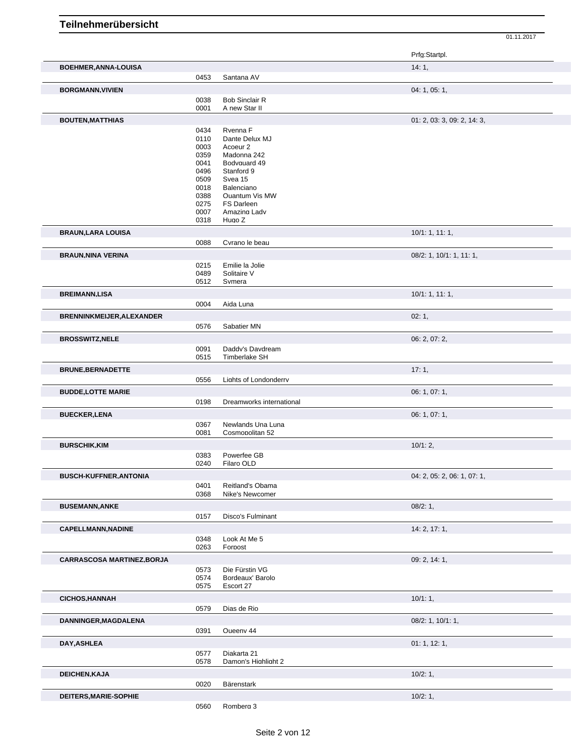|                                   |              |                            | Prfg:Startpl.               |
|-----------------------------------|--------------|----------------------------|-----------------------------|
| <b>BOEHMER, ANNA-LOUISA</b>       |              |                            | 14:1,                       |
|                                   | 0453         | Santana AV                 |                             |
| <b>BORGMANN, VIVIEN</b>           |              |                            | 04: 1, 05: 1,               |
|                                   | 0038         | <b>Bob Sinclair R</b>      |                             |
|                                   | 0001         | A new Star II              |                             |
| <b>BOUTEN, MATTHIAS</b>           |              |                            | 01: 2, 03: 3, 09: 2, 14: 3, |
|                                   | 0434         | Rvenna F                   |                             |
|                                   | 0110         | Dante Delux MJ             |                             |
|                                   | 0003         | Acoeur <sub>2</sub>        |                             |
|                                   | 0359         | Madonna 242                |                             |
|                                   | 0041<br>0496 | Bodvauard 49<br>Stanford 9 |                             |
|                                   | 0509         | Svea 15                    |                             |
|                                   | 0018         | Balenciano                 |                             |
|                                   | 0388         | Quantum Vis MW             |                             |
|                                   | 0275<br>0007 | FS Darleen<br>Amazing Ladv |                             |
|                                   | 0318         | Hugo Z                     |                             |
| <b>BRAUN, LARA LOUISA</b>         |              |                            | 10/1: 1, 11: 1,             |
|                                   | 0088         | Cvrano le beau             |                             |
| <b>BRAUN, NINA VERINA</b>         |              |                            | 08/2: 1, 10/1: 1, 11: 1,    |
|                                   | 0215         | Emilie la Jolie            |                             |
|                                   | 0489         | Solitaire V                |                             |
|                                   | 0512         | Svmera                     |                             |
| <b>BREIMANN,LISA</b>              |              |                            | 10/1: 1, 11: 1,             |
|                                   | 0004         | Aida Luna                  |                             |
| <b>BRENNINKMEIJER, ALEXANDER</b>  |              |                            | 02:1,                       |
|                                   | 0576         | Sabatier MN                |                             |
| <b>BROSSWITZ, NELE</b>            |              |                            | 06: 2, 07: 2,               |
|                                   | 0091         | Daddy's Davdream           |                             |
|                                   | 0515         | Timberlake SH              |                             |
| <b>BRUNE, BERNADETTE</b>          |              |                            | 17:1,                       |
|                                   | 0556         | Liahts of Londonderrv      |                             |
| <b>BUDDE,LOTTE MARIE</b>          |              |                            | 06: 1, 07: 1,               |
|                                   | 0198         | Dreamworks international   |                             |
| <b>BUECKER, LENA</b>              |              |                            | 06: 1, 07: 1,               |
|                                   | 0367         | Newlands Una Luna          |                             |
|                                   | 0081         | Cosmopolitan 52            |                             |
| <b>BURSCHIK, KIM</b>              |              |                            | 10/1:2,                     |
|                                   | 0383         | Powerfee GB                |                             |
|                                   | 0240         | Filaro OLD                 |                             |
| <b>BUSCH-KUFFNER, ANTONIA</b>     |              |                            | 04: 2, 05: 2, 06: 1, 07: 1, |
|                                   | 0401         | Reitland's Obama           |                             |
|                                   | 0368         | Nike's Newcomer            |                             |
| <b>BUSEMANN, ANKE</b>             |              |                            | 08/2:1,                     |
|                                   | 0157         | Disco's Fulminant          |                             |
| <b>CAPELLMANN, NADINE</b>         |              |                            | 14: 2, 17: 1,               |
|                                   | 0348         | Look At Me 5               |                             |
|                                   | 0263         | Forpost                    |                             |
| <b>CARRASCOSA MARTINEZ, BORJA</b> |              |                            | 09: 2, 14: 1,               |
|                                   | 0573         | Die Fürstin VG             |                             |
|                                   | 0574         | Bordeaux' Barolo           |                             |
|                                   | 0575         | Escort 27                  |                             |
| <b>CICHOS, HANNAH</b>             |              |                            | 10/1:1,                     |
|                                   | 0579         | Dias de Rio                |                             |
| DANNINGER, MAGDALENA              |              |                            | 08/2: 1, 10/1: 1,           |
|                                   | 0391         | Queenv 44                  |                             |
| DAY, ASHLEA                       |              |                            | 01: 1, 12: 1,               |
|                                   | 0577         | Diakarta 21                |                             |
|                                   | 0578         | Damon's Highlight 2        |                             |
| DEICHEN, KAJA                     |              |                            | 10/2:1,                     |
|                                   | 0020         | Bärenstark                 |                             |
| DEITERS, MARIE-SOPHIE             |              |                            | 10/2:1,                     |
|                                   | 0560         | Rombera 3                  |                             |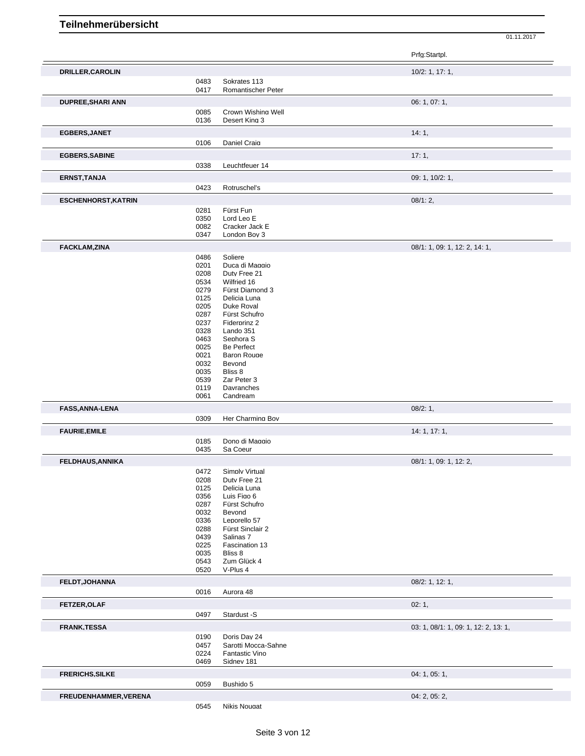|                            |              |                                  | 01.11.2017                           |
|----------------------------|--------------|----------------------------------|--------------------------------------|
|                            |              |                                  | Prfg:Startpl.                        |
| DRILLER, CAROLIN           |              |                                  | 10/2: 1, 17: 1,                      |
|                            | 0483         | Sokrates 113                     |                                      |
|                            | 0417         | Romantischer Peter               |                                      |
| <b>DUPREE, SHARI ANN</b>   |              |                                  | 06: 1, 07: 1,                        |
|                            | 0085         | Crown Wishing Well               |                                      |
|                            | 0136         | Desert King 3                    |                                      |
| EGBERS, JANET              |              |                                  | 14:1,                                |
|                            | 0106         | Daniel Craia                     |                                      |
| <b>EGBERS, SABINE</b>      |              |                                  | 17:1,                                |
|                            | 0338         | Leuchtfeuer 14                   |                                      |
| <b>ERNST, TANJA</b>        |              |                                  | 09: 1, 10/2: 1,                      |
|                            | 0423         | Rotruschel's                     |                                      |
| <b>ESCHENHORST, KATRIN</b> |              |                                  | 08/1:2,                              |
|                            | 0281         | Fürst Fun                        |                                      |
|                            | 0350         | Lord Leo E                       |                                      |
|                            | 0082<br>0347 | Cracker Jack E<br>London Bov 3   |                                      |
|                            |              |                                  |                                      |
| <b>FACKLAM,ZINA</b>        | 0486         | Soliere                          | 08/1: 1, 09: 1, 12: 2, 14: 1,        |
|                            | 0201         | Duca di Maggio                   |                                      |
|                            | 0208         | Duty Free 21                     |                                      |
|                            | 0534         | Wilfried 16                      |                                      |
|                            | 0279         | Fürst Diamond 3                  |                                      |
|                            | 0125<br>0205 | Delicia Luna<br>Duke Roval       |                                      |
|                            | 0287         | Fürst Schufro                    |                                      |
|                            | 0237         | Fiderprinz 2                     |                                      |
|                            | 0328         | Lando 351                        |                                      |
|                            | 0463         | Sephora <sub>S</sub>             |                                      |
|                            | 0025         | <b>Be Perfect</b>                |                                      |
|                            | 0021<br>0032 | <b>Baron Rouge</b><br>Bevond     |                                      |
|                            | 0035         | Bliss 8                          |                                      |
|                            | 0539         | Zar Peter 3                      |                                      |
|                            | 0119         | Davranches                       |                                      |
|                            | 0061         | Candream                         |                                      |
| <b>FASS, ANNA-LENA</b>     |              |                                  | 08/2:1,                              |
|                            | 0309         | Her Charming Bov                 |                                      |
| <b>FAURIE, EMILE</b>       |              |                                  | 14: 1, 17: 1,                        |
|                            | 0185         | Dono di Maggio                   |                                      |
|                            | 0435         | Sa Coeur                         |                                      |
| <b>FELDHAUS, ANNIKA</b>    |              |                                  | 08/1: 1, 09: 1, 12: 2,               |
|                            | 0472<br>0208 | Simply Virtual<br>Duty Free 21   |                                      |
|                            | 0125         | Delicia Luna                     |                                      |
|                            | 0356         | Luis Figo 6                      |                                      |
|                            | 0287         | Fürst Schufro                    |                                      |
|                            | 0032         | Bevond                           |                                      |
|                            | 0336<br>0288 | Leporello 57<br>Fürst Sinclair 2 |                                      |
|                            | 0439         | Salinas 7                        |                                      |
|                            | 0225         | Fascination 13                   |                                      |
|                            | 0035         | Bliss 8                          |                                      |
|                            | 0543         | Zum Glück 4                      |                                      |
|                            | 0520         | V-Plus 4                         |                                      |
| FELDT, JOHANNA             |              |                                  | 08/2: 1, 12: 1,                      |
|                            | 0016         | Aurora 48                        |                                      |
| <b>FETZER, OLAF</b>        |              |                                  | 02:1,                                |
|                            | 0497         | Stardust -S                      |                                      |
| <b>FRANK, TESSA</b>        |              |                                  | 03: 1, 08/1: 1, 09: 1, 12: 2, 13: 1, |
|                            | 0190         | Doris Dav 24                     |                                      |
|                            | 0457         | Sarotti Mocca-Sahne              |                                      |
|                            | 0224         | Fantastic Vino                   |                                      |
|                            | 0469         | Sidnev 181                       |                                      |
| <b>FRERICHS, SILKE</b>     |              |                                  | 04: 1, 05: 1,                        |
|                            | 0059         | Bushido 5                        |                                      |
| FREUDENHAMMER, VERENA      |              |                                  | 04: 2, 05: 2,                        |
|                            | 0545         | Nikis Nougat                     |                                      |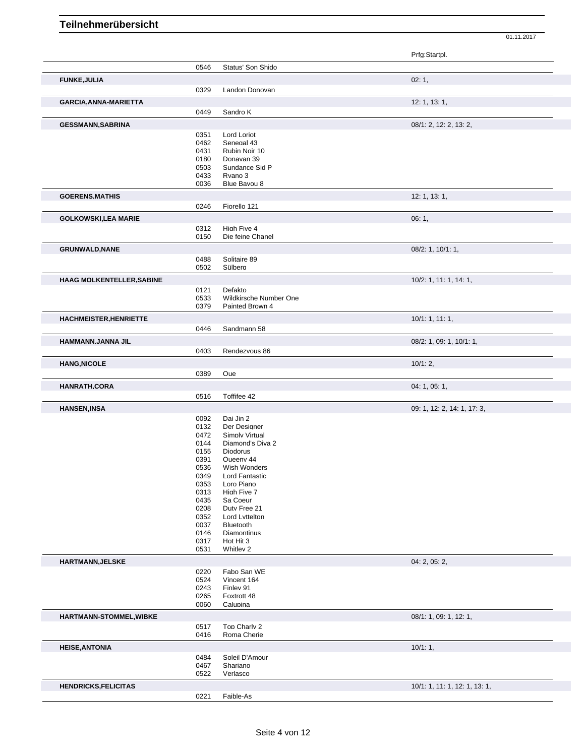|                                  |              |                                           | Prfg:Startpl.                 |
|----------------------------------|--------------|-------------------------------------------|-------------------------------|
|                                  | 0546         | Status' Son Shido                         |                               |
| <b>FUNKE, JULIA</b>              |              |                                           | 02:1,                         |
|                                  |              | Landon Donovan                            |                               |
|                                  | 0329         |                                           |                               |
| GARCIA, ANNA-MARIETTA            |              |                                           | 12: 1, 13: 1,                 |
|                                  | 0449         | Sandro K                                  |                               |
| <b>GESSMANN, SABRINA</b>         |              |                                           | 08/1: 2, 12: 2, 13: 2,        |
|                                  | 0351         | Lord Loriot                               |                               |
|                                  | 0462         | Senegal 43                                |                               |
|                                  | 0431         | Rubin Noir 10                             |                               |
|                                  | 0180<br>0503 | Donavan 39<br>Sundance Sid P              |                               |
|                                  | 0433         | Rvano 3                                   |                               |
|                                  | 0036         | Blue Bavou 8                              |                               |
| <b>GOERENS, MATHIS</b>           |              |                                           | 12: 1, 13: 1,                 |
|                                  | 0246         | Fiorello 121                              |                               |
|                                  |              |                                           |                               |
| <b>GOLKOWSKI,LEA MARIE</b>       |              |                                           | 06:1,                         |
|                                  | 0312<br>0150 | High Five 4<br>Die feine Chanel           |                               |
|                                  |              |                                           |                               |
| <b>GRUNWALD, NANE</b>            |              |                                           | 08/2: 1, 10/1: 1,             |
|                                  | 0488         | Solitaire 89                              |                               |
|                                  | 0502         | Sülbera                                   |                               |
| <b>HAAG MOLKENTELLER, SABINE</b> |              |                                           | 10/2: 1, 11: 1, 14: 1,        |
|                                  | 0121         | Defakto                                   |                               |
|                                  | 0533<br>0379 | Wildkirsche Number One<br>Painted Brown 4 |                               |
|                                  |              |                                           |                               |
| <b>HACHMEISTER, HENRIETTE</b>    |              |                                           | 10/1: 1, 11: 1,               |
|                                  | 0446         | Sandmann 58                               |                               |
| HAMMANN, JANNA JIL               |              |                                           | 08/2: 1, 09: 1, 10/1: 1,      |
|                                  | 0403         | Rendezvous 86                             |                               |
| <b>HANG, NICOLE</b>              |              |                                           | 10/1:2,                       |
|                                  | 0389         | Que                                       |                               |
| <b>HANRATH,CORA</b>              |              |                                           | 04: 1, 05: 1,                 |
|                                  | 0516         | Toffifee 42                               |                               |
|                                  |              |                                           |                               |
| <b>HANSEN, INSA</b>              |              | Dai Jin 2                                 | 09: 1, 12: 2, 14: 1, 17: 3,   |
|                                  | 0092<br>0132 | Der Desianer                              |                               |
|                                  | 0472         | Simply Virtual                            |                               |
|                                  | 0144         | Diamond's Diva 2                          |                               |
|                                  | 0155         | Diodorus                                  |                               |
|                                  | 0391<br>0536 | Queenv 44<br>Wish Wonders                 |                               |
|                                  | 0349         | Lord Fantastic                            |                               |
|                                  | 0353         | Loro Piano                                |                               |
|                                  | 0313         | High Five 7                               |                               |
|                                  | 0435         | Sa Coeur                                  |                               |
|                                  | 0208<br>0352 | Duty Free 21<br>Lord Lyttelton            |                               |
|                                  | 0037         | Bluetooth                                 |                               |
|                                  | 0146         | Diamontinus                               |                               |
|                                  | 0317         | Hot Hit 3                                 |                               |
|                                  | 0531         | Whitlev 2                                 |                               |
| HARTMANN, JELSKE                 |              |                                           | 04: 2, 05: 2,                 |
|                                  | 0220         | Fabo San WE                               |                               |
|                                  | 0524         | Vincent 164                               |                               |
|                                  | 0243<br>0265 | Finley 91<br>Foxtrott 48                  |                               |
|                                  | 0060         | Calupina                                  |                               |
|                                  |              |                                           |                               |
| HARTMANN-STOMMEL, WIBKE          |              |                                           | 08/1: 1, 09: 1, 12: 1,        |
|                                  | 0517<br>0416 | Top Charly 2<br>Roma Cherie               |                               |
|                                  |              |                                           |                               |
| <b>HEISE, ANTONIA</b>            |              |                                           | 10/1:1,                       |
|                                  | 0484         | Soleil D'Amour                            |                               |
|                                  | 0467<br>0522 | Shariano<br>Verlasco                      |                               |
|                                  |              |                                           |                               |
| <b>HENDRICKS, FELICITAS</b>      |              |                                           | 10/1: 1, 11: 1, 12: 1, 13: 1, |
|                                  | 0221         | Faible-As                                 |                               |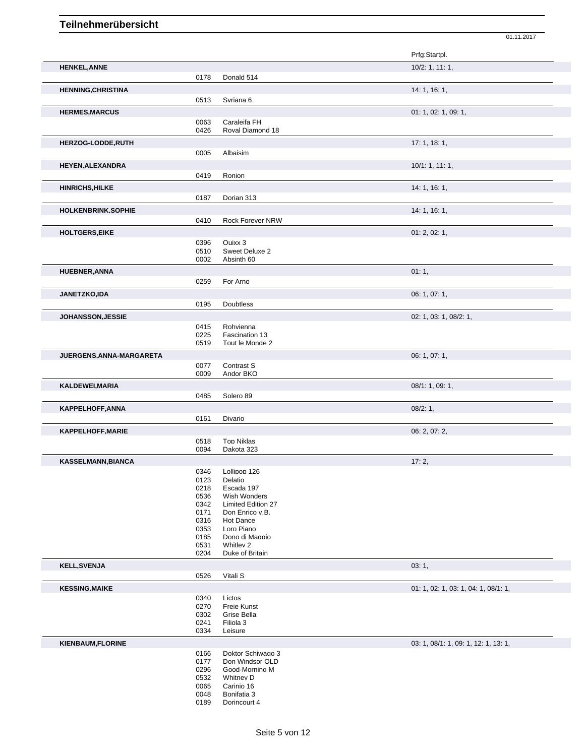|                           |              |                                    | 01.11.2017                           |
|---------------------------|--------------|------------------------------------|--------------------------------------|
|                           |              |                                    | Prfg:Startpl.                        |
|                           |              |                                    |                                      |
| <b>HENKEL, ANNE</b>       |              |                                    | 10/2: 1, 11: 1,                      |
|                           | 0178         | Donald 514                         |                                      |
| <b>HENNING, CHRISTINA</b> |              |                                    | 14: 1, 16: 1,                        |
|                           | 0513         | Svriana 6                          |                                      |
| <b>HERMES, MARCUS</b>     |              |                                    | 01: 1, 02: 1, 09: 1,                 |
|                           | 0063         | Caraleifa FH                       |                                      |
|                           | 0426         | Roval Diamond 18                   |                                      |
| HERZOG-LODDE, RUTH        |              |                                    | 17: 1, 18: 1,                        |
|                           | 0005         | Albaisim                           |                                      |
| <b>HEYEN, ALEXANDRA</b>   |              |                                    | 10/1: 1, 11: 1,                      |
|                           | 0419         | Ronion                             |                                      |
| <b>HINRICHS, HILKE</b>    |              |                                    | 14: 1, 16: 1,                        |
|                           | 0187         | Dorian 313                         |                                      |
|                           |              |                                    |                                      |
| HOLKENBRINK, SOPHIE       |              |                                    | 14: 1, 16: 1,                        |
|                           | 0410         | Rock Forever NRW                   |                                      |
| <b>HOLTGERS, EIKE</b>     |              |                                    | 01: 2, 02: 1,                        |
|                           | 0396         | Quixx 3                            |                                      |
|                           | 0510<br>0002 | Sweet Deluxe 2<br>Absinth 60       |                                      |
|                           |              |                                    |                                      |
| <b>HUEBNER, ANNA</b>      |              |                                    | 01:1,                                |
|                           | 0259         | For Arno                           |                                      |
| JANETZKO,IDA              |              |                                    | 06: 1, 07: 1,                        |
|                           | 0195         | <b>Doubtless</b>                   |                                      |
| <b>JOHANSSON, JESSIE</b>  |              |                                    | 02: 1, 03: 1, 08/2: 1,               |
|                           | 0415         | Rohvienna                          |                                      |
|                           | 0225         | Fascination 13                     |                                      |
|                           | 0519         | Tout le Monde 2                    |                                      |
| JUERGENS, ANNA-MARGARETA  |              |                                    | 06: 1, 07: 1,                        |
|                           | 0077         | Contrast S                         |                                      |
|                           | 0009         | Andor BKO                          |                                      |
| KALDEWEI, MARIA           |              |                                    | 08/1: 1, 09: 1,                      |
|                           | 0485         | Solero 89                          |                                      |
| <b>KAPPELHOFF, ANNA</b>   |              |                                    | 08/2:1,                              |
|                           | 0161         | Divario                            |                                      |
| <b>KAPPELHOFF, MARIE</b>  |              |                                    | 06: 2, 07: 2,                        |
|                           | 0518         | Top Niklas                         |                                      |
|                           | 0094         | Dakota 323                         |                                      |
| <b>KASSELMANN.BIANCA</b>  |              |                                    | 17:2,                                |
|                           | 0346         | Lollipop 126                       |                                      |
|                           | 0123         | Delatio                            |                                      |
|                           | 0218         | Escada 197                         |                                      |
|                           | 0536<br>0342 | Wish Wonders<br>Limited Edition 27 |                                      |
|                           | 0171         | Don Enrico v.B.                    |                                      |
|                           | 0316         | Hot Dance                          |                                      |
|                           | 0353         | Loro Piano                         |                                      |
|                           | 0185<br>0531 | Dono di Maggio<br>Whitley 2        |                                      |
|                           | 0204         | Duke of Britain                    |                                      |
| <b>KELL, SVENJA</b>       |              |                                    | 03:1,                                |
|                           | 0526         | Vitali S                           |                                      |
|                           |              |                                    |                                      |
| <b>KESSING, MAIKE</b>     |              |                                    | 01: 1, 02: 1, 03: 1, 04: 1, 08/1: 1, |
|                           | 0340<br>0270 | Lictos<br>Freie Kunst              |                                      |
|                           | 0302         | Grise Bella                        |                                      |
|                           | 0241         | Filiola 3                          |                                      |
|                           | 0334         | Leisure                            |                                      |
| <b>KIENBAUM, FLORINE</b>  |              |                                    | 03: 1, 08/1: 1, 09: 1, 12: 1, 13: 1, |
|                           | 0166         | Doktor Schiwago 3                  |                                      |
|                           | 0177         | Don Windsor OLD                    |                                      |
|                           | 0296         | Good-Mornina M<br>Whitnev D        |                                      |
|                           | 0532<br>0065 | Carinio 16                         |                                      |
|                           | 0048         | Bonifatia 3                        |                                      |

Dorincourt 4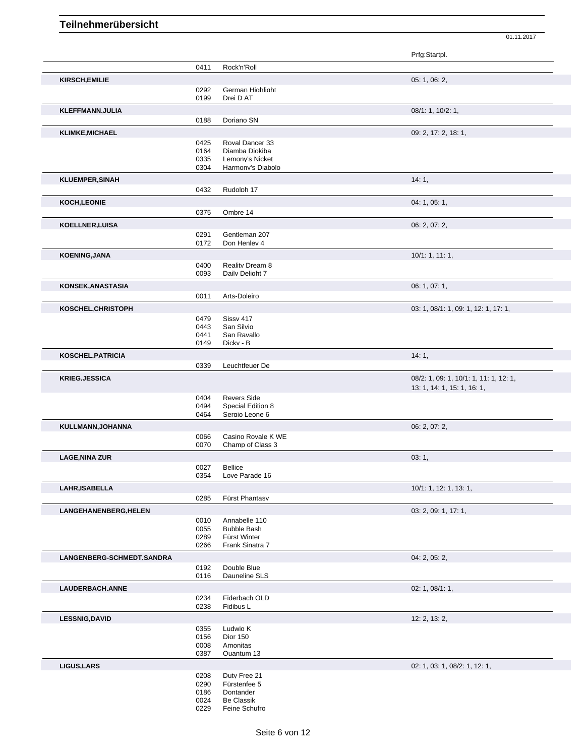| 0411<br>Rock'n'Roll<br>05: 1, 06: 2,<br><b>KIRSCH, EMILIE</b><br>0292<br>German Highlight<br>0199<br>Drei D AT<br>08/1: 1, 10/2: 1,<br><b>KLEFFMANN, JULIA</b><br>0188<br>Doriano SN<br><b>KLIMKE, MICHAEL</b><br>09: 2, 17: 2, 18: 1,<br>0425<br>Roval Dancer 33<br>0164<br>Diamba Diokiba<br>0335<br>Lemonv's Nicket<br>Harmonv's Diabolo<br>0304<br>14:1,<br>0432<br>Rudolph 17<br>04: 1, 05: 1,<br>0375<br>Ombre 14<br>06: 2, 07: 2,<br>0291<br>Gentleman 207<br>0172<br>Don Henlev 4<br>10/1: 1, 11: 1,<br>0400<br>Reality Dream 8<br>0093<br>Daily Delight 7<br>06: 1, 07: 1,<br>0011<br>Arts-Doleiro<br>03: 1, 08/1: 1, 09: 1, 12: 1, 17: 1,<br>0479<br>Sissy 417<br>0443<br>San Silvio<br>0441<br>San Ravallo<br>0149<br>Dicky - B<br><b>KOSCHEL, PATRICIA</b><br>14:1,<br>Leuchtfeuer De<br>0339<br>08/2: 1, 09: 1, 10/1: 1, 11: 1, 12: 1,<br>13: 1, 14: 1, 15: 1, 16: 1,<br><b>Revers Side</b><br>0404<br>0494<br>Special Edition 8<br>Sergio Leone 6<br>0464<br>06: 2, 07: 2,<br>KULLMANN, JOHANNA<br>0066<br>Casino Rovale K WE<br>0070<br>Champ of Class 3<br><b>LAGE, NINA ZUR</b><br>03:1,<br>0027<br>Bellice<br>0354<br>Love Parade 16<br>LAHR, ISABELLA<br>10/1: 1, 12: 1, 13: 1,<br>0285<br>Fürst Phantasv<br>LANGEHANENBERG, HELEN<br>03: 2, 09: 1, 17: 1,<br>0010<br>Annabelle 110<br>0055<br><b>Bubble Bash</b><br>0289<br>Fürst Winter<br>0266<br>Frank Sinatra 7<br>04: 2, 05: 2,<br>Double Blue<br>0192<br>0116<br>Dauneline SLS<br>02: 1, 08/1: 1,<br>LAUDERBACH, ANNE<br>0234<br>Fiderbach OLD<br>0238<br>Fidibus L<br><b>LESSNIG,DAVID</b><br>12: 2, 13: 2,<br>0355<br>Ludwia K<br><b>Dior 150</b><br>0156<br>0008<br>Amonitas<br>0387<br>Quantum 13<br>02: 1, 03: 1, 08/2: 1, 12: 1,<br>0208<br>Duty Free 21<br>0290<br>Fürstenfee 5<br>0186<br>Dontander<br>0024<br>Be Classik<br>0229<br>Feine Schufro |                            |  | Prfg:Startpl. |
|--------------------------------------------------------------------------------------------------------------------------------------------------------------------------------------------------------------------------------------------------------------------------------------------------------------------------------------------------------------------------------------------------------------------------------------------------------------------------------------------------------------------------------------------------------------------------------------------------------------------------------------------------------------------------------------------------------------------------------------------------------------------------------------------------------------------------------------------------------------------------------------------------------------------------------------------------------------------------------------------------------------------------------------------------------------------------------------------------------------------------------------------------------------------------------------------------------------------------------------------------------------------------------------------------------------------------------------------------------------------------------------------------------------------------------------------------------------------------------------------------------------------------------------------------------------------------------------------------------------------------------------------------------------------------------------------------------------------------------------------------------------------------------------------------------------------------------------|----------------------------|--|---------------|
|                                                                                                                                                                                                                                                                                                                                                                                                                                                                                                                                                                                                                                                                                                                                                                                                                                                                                                                                                                                                                                                                                                                                                                                                                                                                                                                                                                                                                                                                                                                                                                                                                                                                                                                                                                                                                                      |                            |  |               |
|                                                                                                                                                                                                                                                                                                                                                                                                                                                                                                                                                                                                                                                                                                                                                                                                                                                                                                                                                                                                                                                                                                                                                                                                                                                                                                                                                                                                                                                                                                                                                                                                                                                                                                                                                                                                                                      |                            |  |               |
|                                                                                                                                                                                                                                                                                                                                                                                                                                                                                                                                                                                                                                                                                                                                                                                                                                                                                                                                                                                                                                                                                                                                                                                                                                                                                                                                                                                                                                                                                                                                                                                                                                                                                                                                                                                                                                      |                            |  |               |
|                                                                                                                                                                                                                                                                                                                                                                                                                                                                                                                                                                                                                                                                                                                                                                                                                                                                                                                                                                                                                                                                                                                                                                                                                                                                                                                                                                                                                                                                                                                                                                                                                                                                                                                                                                                                                                      |                            |  |               |
|                                                                                                                                                                                                                                                                                                                                                                                                                                                                                                                                                                                                                                                                                                                                                                                                                                                                                                                                                                                                                                                                                                                                                                                                                                                                                                                                                                                                                                                                                                                                                                                                                                                                                                                                                                                                                                      |                            |  |               |
|                                                                                                                                                                                                                                                                                                                                                                                                                                                                                                                                                                                                                                                                                                                                                                                                                                                                                                                                                                                                                                                                                                                                                                                                                                                                                                                                                                                                                                                                                                                                                                                                                                                                                                                                                                                                                                      |                            |  |               |
|                                                                                                                                                                                                                                                                                                                                                                                                                                                                                                                                                                                                                                                                                                                                                                                                                                                                                                                                                                                                                                                                                                                                                                                                                                                                                                                                                                                                                                                                                                                                                                                                                                                                                                                                                                                                                                      |                            |  |               |
|                                                                                                                                                                                                                                                                                                                                                                                                                                                                                                                                                                                                                                                                                                                                                                                                                                                                                                                                                                                                                                                                                                                                                                                                                                                                                                                                                                                                                                                                                                                                                                                                                                                                                                                                                                                                                                      |                            |  |               |
|                                                                                                                                                                                                                                                                                                                                                                                                                                                                                                                                                                                                                                                                                                                                                                                                                                                                                                                                                                                                                                                                                                                                                                                                                                                                                                                                                                                                                                                                                                                                                                                                                                                                                                                                                                                                                                      |                            |  |               |
|                                                                                                                                                                                                                                                                                                                                                                                                                                                                                                                                                                                                                                                                                                                                                                                                                                                                                                                                                                                                                                                                                                                                                                                                                                                                                                                                                                                                                                                                                                                                                                                                                                                                                                                                                                                                                                      |                            |  |               |
|                                                                                                                                                                                                                                                                                                                                                                                                                                                                                                                                                                                                                                                                                                                                                                                                                                                                                                                                                                                                                                                                                                                                                                                                                                                                                                                                                                                                                                                                                                                                                                                                                                                                                                                                                                                                                                      |                            |  |               |
|                                                                                                                                                                                                                                                                                                                                                                                                                                                                                                                                                                                                                                                                                                                                                                                                                                                                                                                                                                                                                                                                                                                                                                                                                                                                                                                                                                                                                                                                                                                                                                                                                                                                                                                                                                                                                                      | <b>KLUEMPER, SINAH</b>     |  |               |
|                                                                                                                                                                                                                                                                                                                                                                                                                                                                                                                                                                                                                                                                                                                                                                                                                                                                                                                                                                                                                                                                                                                                                                                                                                                                                                                                                                                                                                                                                                                                                                                                                                                                                                                                                                                                                                      |                            |  |               |
|                                                                                                                                                                                                                                                                                                                                                                                                                                                                                                                                                                                                                                                                                                                                                                                                                                                                                                                                                                                                                                                                                                                                                                                                                                                                                                                                                                                                                                                                                                                                                                                                                                                                                                                                                                                                                                      | KOCH, LEONIE               |  |               |
|                                                                                                                                                                                                                                                                                                                                                                                                                                                                                                                                                                                                                                                                                                                                                                                                                                                                                                                                                                                                                                                                                                                                                                                                                                                                                                                                                                                                                                                                                                                                                                                                                                                                                                                                                                                                                                      |                            |  |               |
|                                                                                                                                                                                                                                                                                                                                                                                                                                                                                                                                                                                                                                                                                                                                                                                                                                                                                                                                                                                                                                                                                                                                                                                                                                                                                                                                                                                                                                                                                                                                                                                                                                                                                                                                                                                                                                      | <b>KOELLNER, LUISA</b>     |  |               |
|                                                                                                                                                                                                                                                                                                                                                                                                                                                                                                                                                                                                                                                                                                                                                                                                                                                                                                                                                                                                                                                                                                                                                                                                                                                                                                                                                                                                                                                                                                                                                                                                                                                                                                                                                                                                                                      |                            |  |               |
|                                                                                                                                                                                                                                                                                                                                                                                                                                                                                                                                                                                                                                                                                                                                                                                                                                                                                                                                                                                                                                                                                                                                                                                                                                                                                                                                                                                                                                                                                                                                                                                                                                                                                                                                                                                                                                      |                            |  |               |
|                                                                                                                                                                                                                                                                                                                                                                                                                                                                                                                                                                                                                                                                                                                                                                                                                                                                                                                                                                                                                                                                                                                                                                                                                                                                                                                                                                                                                                                                                                                                                                                                                                                                                                                                                                                                                                      | <b>KOENING, JANA</b>       |  |               |
|                                                                                                                                                                                                                                                                                                                                                                                                                                                                                                                                                                                                                                                                                                                                                                                                                                                                                                                                                                                                                                                                                                                                                                                                                                                                                                                                                                                                                                                                                                                                                                                                                                                                                                                                                                                                                                      |                            |  |               |
|                                                                                                                                                                                                                                                                                                                                                                                                                                                                                                                                                                                                                                                                                                                                                                                                                                                                                                                                                                                                                                                                                                                                                                                                                                                                                                                                                                                                                                                                                                                                                                                                                                                                                                                                                                                                                                      |                            |  |               |
|                                                                                                                                                                                                                                                                                                                                                                                                                                                                                                                                                                                                                                                                                                                                                                                                                                                                                                                                                                                                                                                                                                                                                                                                                                                                                                                                                                                                                                                                                                                                                                                                                                                                                                                                                                                                                                      | KONSEK, ANASTASIA          |  |               |
|                                                                                                                                                                                                                                                                                                                                                                                                                                                                                                                                                                                                                                                                                                                                                                                                                                                                                                                                                                                                                                                                                                                                                                                                                                                                                                                                                                                                                                                                                                                                                                                                                                                                                                                                                                                                                                      |                            |  |               |
|                                                                                                                                                                                                                                                                                                                                                                                                                                                                                                                                                                                                                                                                                                                                                                                                                                                                                                                                                                                                                                                                                                                                                                                                                                                                                                                                                                                                                                                                                                                                                                                                                                                                                                                                                                                                                                      | KOSCHEL, CHRISTOPH         |  |               |
|                                                                                                                                                                                                                                                                                                                                                                                                                                                                                                                                                                                                                                                                                                                                                                                                                                                                                                                                                                                                                                                                                                                                                                                                                                                                                                                                                                                                                                                                                                                                                                                                                                                                                                                                                                                                                                      |                            |  |               |
|                                                                                                                                                                                                                                                                                                                                                                                                                                                                                                                                                                                                                                                                                                                                                                                                                                                                                                                                                                                                                                                                                                                                                                                                                                                                                                                                                                                                                                                                                                                                                                                                                                                                                                                                                                                                                                      |                            |  |               |
|                                                                                                                                                                                                                                                                                                                                                                                                                                                                                                                                                                                                                                                                                                                                                                                                                                                                                                                                                                                                                                                                                                                                                                                                                                                                                                                                                                                                                                                                                                                                                                                                                                                                                                                                                                                                                                      |                            |  |               |
|                                                                                                                                                                                                                                                                                                                                                                                                                                                                                                                                                                                                                                                                                                                                                                                                                                                                                                                                                                                                                                                                                                                                                                                                                                                                                                                                                                                                                                                                                                                                                                                                                                                                                                                                                                                                                                      |                            |  |               |
|                                                                                                                                                                                                                                                                                                                                                                                                                                                                                                                                                                                                                                                                                                                                                                                                                                                                                                                                                                                                                                                                                                                                                                                                                                                                                                                                                                                                                                                                                                                                                                                                                                                                                                                                                                                                                                      |                            |  |               |
|                                                                                                                                                                                                                                                                                                                                                                                                                                                                                                                                                                                                                                                                                                                                                                                                                                                                                                                                                                                                                                                                                                                                                                                                                                                                                                                                                                                                                                                                                                                                                                                                                                                                                                                                                                                                                                      |                            |  |               |
|                                                                                                                                                                                                                                                                                                                                                                                                                                                                                                                                                                                                                                                                                                                                                                                                                                                                                                                                                                                                                                                                                                                                                                                                                                                                                                                                                                                                                                                                                                                                                                                                                                                                                                                                                                                                                                      | <b>KRIEG, JESSICA</b>      |  |               |
|                                                                                                                                                                                                                                                                                                                                                                                                                                                                                                                                                                                                                                                                                                                                                                                                                                                                                                                                                                                                                                                                                                                                                                                                                                                                                                                                                                                                                                                                                                                                                                                                                                                                                                                                                                                                                                      |                            |  |               |
|                                                                                                                                                                                                                                                                                                                                                                                                                                                                                                                                                                                                                                                                                                                                                                                                                                                                                                                                                                                                                                                                                                                                                                                                                                                                                                                                                                                                                                                                                                                                                                                                                                                                                                                                                                                                                                      |                            |  |               |
|                                                                                                                                                                                                                                                                                                                                                                                                                                                                                                                                                                                                                                                                                                                                                                                                                                                                                                                                                                                                                                                                                                                                                                                                                                                                                                                                                                                                                                                                                                                                                                                                                                                                                                                                                                                                                                      |                            |  |               |
|                                                                                                                                                                                                                                                                                                                                                                                                                                                                                                                                                                                                                                                                                                                                                                                                                                                                                                                                                                                                                                                                                                                                                                                                                                                                                                                                                                                                                                                                                                                                                                                                                                                                                                                                                                                                                                      |                            |  |               |
|                                                                                                                                                                                                                                                                                                                                                                                                                                                                                                                                                                                                                                                                                                                                                                                                                                                                                                                                                                                                                                                                                                                                                                                                                                                                                                                                                                                                                                                                                                                                                                                                                                                                                                                                                                                                                                      |                            |  |               |
|                                                                                                                                                                                                                                                                                                                                                                                                                                                                                                                                                                                                                                                                                                                                                                                                                                                                                                                                                                                                                                                                                                                                                                                                                                                                                                                                                                                                                                                                                                                                                                                                                                                                                                                                                                                                                                      |                            |  |               |
|                                                                                                                                                                                                                                                                                                                                                                                                                                                                                                                                                                                                                                                                                                                                                                                                                                                                                                                                                                                                                                                                                                                                                                                                                                                                                                                                                                                                                                                                                                                                                                                                                                                                                                                                                                                                                                      |                            |  |               |
|                                                                                                                                                                                                                                                                                                                                                                                                                                                                                                                                                                                                                                                                                                                                                                                                                                                                                                                                                                                                                                                                                                                                                                                                                                                                                                                                                                                                                                                                                                                                                                                                                                                                                                                                                                                                                                      |                            |  |               |
|                                                                                                                                                                                                                                                                                                                                                                                                                                                                                                                                                                                                                                                                                                                                                                                                                                                                                                                                                                                                                                                                                                                                                                                                                                                                                                                                                                                                                                                                                                                                                                                                                                                                                                                                                                                                                                      |                            |  |               |
|                                                                                                                                                                                                                                                                                                                                                                                                                                                                                                                                                                                                                                                                                                                                                                                                                                                                                                                                                                                                                                                                                                                                                                                                                                                                                                                                                                                                                                                                                                                                                                                                                                                                                                                                                                                                                                      |                            |  |               |
|                                                                                                                                                                                                                                                                                                                                                                                                                                                                                                                                                                                                                                                                                                                                                                                                                                                                                                                                                                                                                                                                                                                                                                                                                                                                                                                                                                                                                                                                                                                                                                                                                                                                                                                                                                                                                                      |                            |  |               |
|                                                                                                                                                                                                                                                                                                                                                                                                                                                                                                                                                                                                                                                                                                                                                                                                                                                                                                                                                                                                                                                                                                                                                                                                                                                                                                                                                                                                                                                                                                                                                                                                                                                                                                                                                                                                                                      |                            |  |               |
|                                                                                                                                                                                                                                                                                                                                                                                                                                                                                                                                                                                                                                                                                                                                                                                                                                                                                                                                                                                                                                                                                                                                                                                                                                                                                                                                                                                                                                                                                                                                                                                                                                                                                                                                                                                                                                      |                            |  |               |
|                                                                                                                                                                                                                                                                                                                                                                                                                                                                                                                                                                                                                                                                                                                                                                                                                                                                                                                                                                                                                                                                                                                                                                                                                                                                                                                                                                                                                                                                                                                                                                                                                                                                                                                                                                                                                                      |                            |  |               |
|                                                                                                                                                                                                                                                                                                                                                                                                                                                                                                                                                                                                                                                                                                                                                                                                                                                                                                                                                                                                                                                                                                                                                                                                                                                                                                                                                                                                                                                                                                                                                                                                                                                                                                                                                                                                                                      |                            |  |               |
|                                                                                                                                                                                                                                                                                                                                                                                                                                                                                                                                                                                                                                                                                                                                                                                                                                                                                                                                                                                                                                                                                                                                                                                                                                                                                                                                                                                                                                                                                                                                                                                                                                                                                                                                                                                                                                      | LANGENBERG-SCHMEDT, SANDRA |  |               |
|                                                                                                                                                                                                                                                                                                                                                                                                                                                                                                                                                                                                                                                                                                                                                                                                                                                                                                                                                                                                                                                                                                                                                                                                                                                                                                                                                                                                                                                                                                                                                                                                                                                                                                                                                                                                                                      |                            |  |               |
|                                                                                                                                                                                                                                                                                                                                                                                                                                                                                                                                                                                                                                                                                                                                                                                                                                                                                                                                                                                                                                                                                                                                                                                                                                                                                                                                                                                                                                                                                                                                                                                                                                                                                                                                                                                                                                      |                            |  |               |
|                                                                                                                                                                                                                                                                                                                                                                                                                                                                                                                                                                                                                                                                                                                                                                                                                                                                                                                                                                                                                                                                                                                                                                                                                                                                                                                                                                                                                                                                                                                                                                                                                                                                                                                                                                                                                                      |                            |  |               |
|                                                                                                                                                                                                                                                                                                                                                                                                                                                                                                                                                                                                                                                                                                                                                                                                                                                                                                                                                                                                                                                                                                                                                                                                                                                                                                                                                                                                                                                                                                                                                                                                                                                                                                                                                                                                                                      |                            |  |               |
|                                                                                                                                                                                                                                                                                                                                                                                                                                                                                                                                                                                                                                                                                                                                                                                                                                                                                                                                                                                                                                                                                                                                                                                                                                                                                                                                                                                                                                                                                                                                                                                                                                                                                                                                                                                                                                      |                            |  |               |
|                                                                                                                                                                                                                                                                                                                                                                                                                                                                                                                                                                                                                                                                                                                                                                                                                                                                                                                                                                                                                                                                                                                                                                                                                                                                                                                                                                                                                                                                                                                                                                                                                                                                                                                                                                                                                                      |                            |  |               |
|                                                                                                                                                                                                                                                                                                                                                                                                                                                                                                                                                                                                                                                                                                                                                                                                                                                                                                                                                                                                                                                                                                                                                                                                                                                                                                                                                                                                                                                                                                                                                                                                                                                                                                                                                                                                                                      |                            |  |               |
|                                                                                                                                                                                                                                                                                                                                                                                                                                                                                                                                                                                                                                                                                                                                                                                                                                                                                                                                                                                                                                                                                                                                                                                                                                                                                                                                                                                                                                                                                                                                                                                                                                                                                                                                                                                                                                      |                            |  |               |
|                                                                                                                                                                                                                                                                                                                                                                                                                                                                                                                                                                                                                                                                                                                                                                                                                                                                                                                                                                                                                                                                                                                                                                                                                                                                                                                                                                                                                                                                                                                                                                                                                                                                                                                                                                                                                                      |                            |  |               |
|                                                                                                                                                                                                                                                                                                                                                                                                                                                                                                                                                                                                                                                                                                                                                                                                                                                                                                                                                                                                                                                                                                                                                                                                                                                                                                                                                                                                                                                                                                                                                                                                                                                                                                                                                                                                                                      | <b>LIGUS, LARS</b>         |  |               |
|                                                                                                                                                                                                                                                                                                                                                                                                                                                                                                                                                                                                                                                                                                                                                                                                                                                                                                                                                                                                                                                                                                                                                                                                                                                                                                                                                                                                                                                                                                                                                                                                                                                                                                                                                                                                                                      |                            |  |               |
|                                                                                                                                                                                                                                                                                                                                                                                                                                                                                                                                                                                                                                                                                                                                                                                                                                                                                                                                                                                                                                                                                                                                                                                                                                                                                                                                                                                                                                                                                                                                                                                                                                                                                                                                                                                                                                      |                            |  |               |
|                                                                                                                                                                                                                                                                                                                                                                                                                                                                                                                                                                                                                                                                                                                                                                                                                                                                                                                                                                                                                                                                                                                                                                                                                                                                                                                                                                                                                                                                                                                                                                                                                                                                                                                                                                                                                                      |                            |  |               |
|                                                                                                                                                                                                                                                                                                                                                                                                                                                                                                                                                                                                                                                                                                                                                                                                                                                                                                                                                                                                                                                                                                                                                                                                                                                                                                                                                                                                                                                                                                                                                                                                                                                                                                                                                                                                                                      |                            |  |               |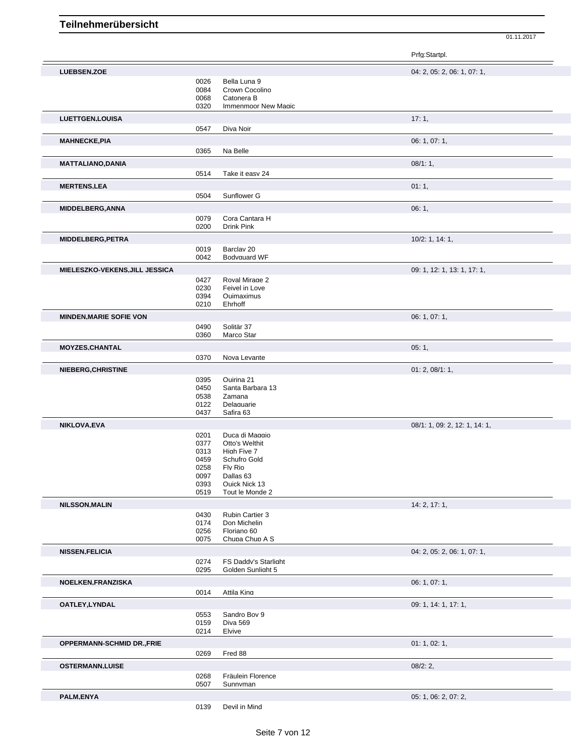|                                |              |                                           | Prfg:Startpl.                 |
|--------------------------------|--------------|-------------------------------------------|-------------------------------|
| <b>LUEBSEN.ZOE</b>             |              |                                           | 04: 2, 05: 2, 06: 1, 07: 1,   |
|                                | 0026         | Bella Luna 9                              |                               |
|                                | 0084         | Crown Cocolino                            |                               |
|                                | 0068         | Catonera B                                |                               |
|                                | 0320         | Immenmoor New Magic                       |                               |
| <b>LUETTGEN,LOUISA</b>         |              |                                           | 17:1,                         |
|                                | 0547         | Diva Noir                                 |                               |
|                                |              |                                           | 06: 1, 07: 1,                 |
| <b>MAHNECKE,PIA</b>            |              |                                           |                               |
|                                | 0365         | Na Belle                                  |                               |
| <b>MATTALIANO.DANIA</b>        |              |                                           | 08/1:1,                       |
|                                | 0514         | Take it easv 24                           |                               |
| <b>MERTENS,LEA</b>             |              |                                           | 01:1,                         |
|                                | 0504         | Sunflower G                               |                               |
|                                |              |                                           |                               |
| <b>MIDDELBERG, ANNA</b>        |              |                                           | 06:1,                         |
|                                | 0079         | Cora Cantara H                            |                               |
|                                | 0200         | Drink Pink                                |                               |
| <b>MIDDELBERG, PETRA</b>       |              |                                           | 10/2: 1, 14: 1,               |
|                                | 0019         | Barclav <sub>20</sub>                     |                               |
|                                | 0042         | Bodvauard WF                              |                               |
| MIELESZKO-VEKENS, JILL JESSICA |              |                                           | 09: 1, 12: 1, 13: 1, 17: 1,   |
|                                |              | Roval Mirage 2                            |                               |
|                                | 0427<br>0230 | Feivel in Love                            |                               |
|                                | 0394         | Quimaximus                                |                               |
|                                | 0210         | Ehrhoff                                   |                               |
|                                |              |                                           |                               |
| <b>MINDEN, MARIE SOFIE VON</b> |              |                                           | 06: 1, 07: 1,                 |
|                                | 0490         | Solitär 37                                |                               |
|                                | 0360         | Marco Star                                |                               |
| MOYZES, CHANTAL                |              |                                           | 05:1,                         |
|                                | 0370         | Nova Levante                              |                               |
| <b>NIEBERG, CHRISTINE</b>      |              |                                           | 01: 2, 08/1: 1,               |
|                                | 0395         | Quirina 21                                |                               |
|                                | 0450         | Santa Barbara 13                          |                               |
|                                | 0538         | Zamana                                    |                               |
|                                | 0122         | Delaguarie                                |                               |
|                                | 0437         | Safira 63                                 |                               |
| NIKLOVA, EVA                   |              |                                           | 08/1: 1, 09: 2, 12: 1, 14: 1, |
|                                | 0201         | Duca di Maggio                            |                               |
|                                | 0377         | Otto's Welthit                            |                               |
|                                | 0313         | High Five 7                               |                               |
|                                | 0459         | Schufro Gold                              |                               |
|                                | 0258         | Fly Rio                                   |                               |
|                                | 0097         | Dallas 63                                 |                               |
|                                | 0393         | Quick Nick 13                             |                               |
|                                | 0519         | Tout le Monde 2                           |                               |
| <b>NILSSON, MALIN</b>          |              |                                           | 14: 2, 17: 1,                 |
|                                | 0430         | Rubin Cartier 3                           |                               |
|                                | 0174         | Don Michelin                              |                               |
|                                | 0256         | Floriano 60                               |                               |
|                                | 0075         | Chupa Chup A S                            |                               |
| <b>NISSEN, FELICIA</b>         |              |                                           | 04: 2, 05: 2, 06: 1, 07: 1,   |
|                                |              |                                           |                               |
|                                | 0274<br>0295 | FS Daddy's Starlight<br>Golden Sunlight 5 |                               |
|                                |              |                                           |                               |
| <b>NOELKEN, FRANZISKA</b>      |              |                                           | 06: 1, 07: 1,                 |
|                                | 0014         | Attila Kina                               |                               |
| OATLEY, LYNDAL                 |              |                                           | 09: 1, 14: 1, 17: 1,          |
|                                | 0553         | Sandro Bov 9                              |                               |
|                                | 0159         | Diva 569                                  |                               |
|                                | 0214         | Elvive                                    |                               |
|                                |              |                                           |                               |
| OPPERMANN-SCHMID DR., FRIE     |              |                                           | 01: 1, 02: 1,                 |
|                                | 0269         | Fred 88                                   |                               |
| <b>OSTERMANN,LUISE</b>         |              |                                           | 08/2:2,                       |
|                                | 0268         | Fräulein Florence                         |                               |
|                                | 0507         | Sunnvman                                  |                               |
| PALM,ENYA                      |              |                                           | 05: 1, 06: 2, 07: 2,          |
|                                |              |                                           |                               |
|                                | 0139         | Devil in Mind                             |                               |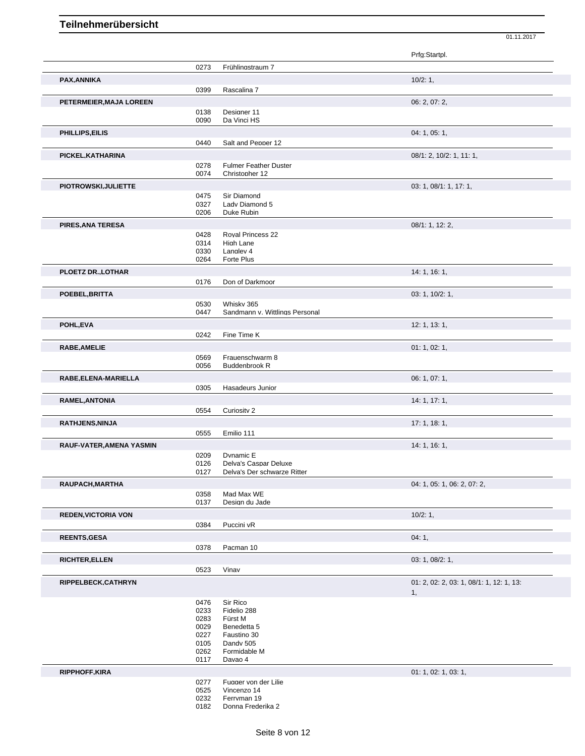|                            |              |                                | Prfg:Startpl.                            |
|----------------------------|--------------|--------------------------------|------------------------------------------|
|                            |              |                                |                                          |
|                            | 0273         | Frühlingstraum 7               |                                          |
| PAX, ANNIKA                |              |                                | 10/2:1,                                  |
|                            | 0399         | Rascalina 7                    |                                          |
| PETERMEIER, MAJA LOREEN    |              |                                | 06: 2, 07: 2,                            |
|                            | 0138         | Designer 11                    |                                          |
|                            | 0090         | Da Vinci HS                    |                                          |
|                            |              |                                |                                          |
| PHILLIPS, EILIS            |              |                                | 04: 1, 05: 1,                            |
|                            | 0440         | Salt and Pepper 12             |                                          |
| PICKEL, KATHARINA          |              |                                | 08/1: 2, 10/2: 1, 11: 1,                 |
|                            | 0278         | Fulmer Feather Duster          |                                          |
|                            | 0074         | Christopher 12                 |                                          |
| PIOTROWSKI, JULIETTE       |              |                                | 03: 1, 08/1: 1, 17: 1,                   |
|                            | 0475         | Sir Diamond                    |                                          |
|                            | 0327         | Lady Diamond 5                 |                                          |
|                            | 0206         | Duke Rubin                     |                                          |
| PIRES, ANA TERESA          |              |                                | 08/1: 1, 12: 2,                          |
|                            | 0428         | Roval Princess 22              |                                          |
|                            | 0314         | High Lane                      |                                          |
|                            | 0330         | Langley 4                      |                                          |
|                            | 0264         | Forte Plus                     |                                          |
| PLOETZ DR., LOTHAR         |              |                                | 14: 1, 16: 1,                            |
|                            | 0176         | Don of Darkmoor                |                                          |
|                            |              |                                |                                          |
| POEBEL.BRITTA              |              |                                | 03: 1, 10/2: 1,                          |
|                            | 0530         | Whisky 365                     |                                          |
|                            | 0447         | Sandmann v. Wittlings Personal |                                          |
| POHL, EVA                  |              |                                | 12: 1, 13: 1,                            |
|                            | 0242         | Fine Time K                    |                                          |
| <b>RABE, AMELIE</b>        |              |                                | 01: 1, 02: 1,                            |
|                            | 0569         | Frauenschwarm 8                |                                          |
|                            | 0056         | <b>Buddenbrook R</b>           |                                          |
| RABE, ELENA-MARIELLA       |              |                                | 06: 1, 07: 1,                            |
|                            | 0305         | Hasadeurs Junior               |                                          |
|                            |              |                                |                                          |
| <b>RAMEL, ANTONIA</b>      |              |                                | 14: 1, 17: 1,                            |
|                            | 0554         | Curiosity 2                    |                                          |
| RATHJENS, NINJA            |              |                                | 17: 1, 18: 1,                            |
|                            | 0555         | Emilio 111                     |                                          |
| RAUF-VATER, AMENA YASMIN   |              |                                | 14: 1, 16: 1,                            |
|                            | 0209         | Dvnamic E                      |                                          |
|                            | 0126         | Delva's Caspar Deluxe          |                                          |
|                            | 0127         | Delva's Der schwarze Ritter    |                                          |
| RAUPACH, MARTHA            |              |                                | 04: 1, 05: 1, 06: 2, 07: 2,              |
|                            | 0358         | Mad Max WE                     |                                          |
|                            | 0137         | Design du Jade                 |                                          |
|                            |              |                                |                                          |
| <b>REDEN, VICTORIA VON</b> |              |                                | 10/2:1,                                  |
|                            | 0384         | Puccini vR                     |                                          |
| <b>REENTS, GESA</b>        |              |                                | 04:1,                                    |
|                            | 0378         | Pacman 10                      |                                          |
| <b>RICHTER, ELLEN</b>      |              |                                | 03: 1, 08/2: 1,                          |
|                            | 0523         | Vinav                          |                                          |
|                            |              |                                |                                          |
| RIPPELBECK,CATHRYN         |              |                                | 01: 2, 02: 2, 03: 1, 08/1: 1, 12: 1, 13: |
|                            |              |                                | 1,                                       |
|                            | 0476         | Sir Rico                       |                                          |
|                            | 0233         | Fidelio 288                    |                                          |
|                            | 0283<br>0029 | Fürst M<br>Benedetta 5         |                                          |
|                            | 0227         | Faustino 30                    |                                          |
|                            | 0105         | Dandy 505                      |                                          |
|                            | 0262         | Formidable M                   |                                          |
|                            | 0117         | Davao 4                        |                                          |
| <b>RIPPHOFF, KIRA</b>      |              |                                | 01: 1, 02: 1, 03: 1,                     |
|                            | 0277         | Fugger von der Lilie           |                                          |
|                            | 0525         | Vincenzo 14                    |                                          |
|                            | 0232         | Ferryman 19                    |                                          |
|                            | 0182         | Donna Frederika 2              |                                          |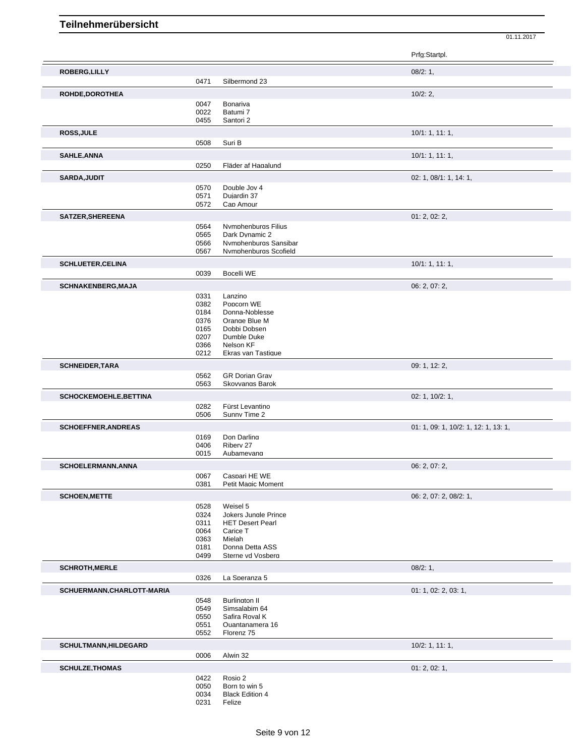|                               |              |                                                | Prfg:Startpl.                        |
|-------------------------------|--------------|------------------------------------------------|--------------------------------------|
| ROBERG, LILLY                 |              |                                                | 08/2:1,                              |
|                               | 0471         | Silbermond 23                                  |                                      |
| ROHDE, DOROTHEA               |              |                                                | 10/2:2,                              |
|                               | 0047         | Bonariva                                       |                                      |
|                               | 0022         | Batumi 7                                       |                                      |
|                               | 0455         | Santori 2                                      |                                      |
| ROSS, JULE                    |              |                                                | 10/1: 1, 11: 1,                      |
|                               | 0508         | Suri B                                         |                                      |
| SAHLE, ANNA                   |              |                                                | 10/1: 1, 11: 1,                      |
|                               | 0250         | Fläder af Hagalund                             |                                      |
| SARDA, JUDIT                  |              |                                                | 02: 1, 08/1: 1, 14: 1,               |
|                               | 0570         | Double Jov 4                                   |                                      |
|                               | 0571         | Duiardin 37                                    |                                      |
|                               | 0572         | Cap Amour                                      |                                      |
| SATZER, SHEREENA              |              |                                                | 01: 2, 02: 2,                        |
|                               | 0564         | Nymphenburgs Filius                            |                                      |
|                               | 0565         | Dark Dvnamic 2                                 |                                      |
|                               | 0566         | Nymphenburgs Sansibar<br>Nymphenburgs Scofield |                                      |
|                               | 0567         |                                                |                                      |
| <b>SCHLUETER, CELINA</b>      |              |                                                | 10/1: 1, 11: 1,                      |
|                               | 0039         | <b>Bocelli WE</b>                              |                                      |
| <b>SCHNAKENBERG, MAJA</b>     |              |                                                | 06: 2, 07: 2,                        |
|                               | 0331         | Lanzino                                        |                                      |
|                               | 0382         | Popcorn WE                                     |                                      |
|                               | 0184<br>0376 | Donna-Noblesse<br>Orange Blue M                |                                      |
|                               | 0165         | Dobbi Dobsen                                   |                                      |
|                               | 0207         | Dumble Duke                                    |                                      |
|                               | 0366         | Nelson KF                                      |                                      |
|                               | 0212         | Ekras van Tastique                             |                                      |
| <b>SCHNEIDER, TARA</b>        |              |                                                | 09: 1, 12: 2,                        |
|                               | 0562         | <b>GR Dorian Grav</b>                          |                                      |
|                               | 0563         | Skovvangs Barok                                |                                      |
| <b>SCHOCKEMOEHLE, BETTINA</b> |              |                                                | 02: 1, 10/2: 1,                      |
|                               | 0282         | Fürst Levantino                                |                                      |
|                               | 0506         | Sunny Time 2                                   |                                      |
| <b>SCHOEFFNER, ANDREAS</b>    |              |                                                | 01: 1, 09: 1, 10/2: 1, 12: 1, 13: 1, |
|                               | 0169         | Don Darling                                    |                                      |
|                               | 0406         | Riberv 27                                      |                                      |
|                               | 0015         | Aubamevang                                     |                                      |
| <b>SCHOELERMANN.ANNA</b>      |              |                                                | 06: 2, 07: 2,                        |
|                               | 0067         | Caspari HE WE                                  |                                      |
|                               | 0381         | Petit Magic Moment                             |                                      |
| <b>SCHOEN, METTE</b>          |              |                                                | 06: 2, 07: 2, 08/2: 1,               |
|                               | 0528         | Weisel 5                                       |                                      |
|                               | 0324         | Jokers Junale Prince                           |                                      |
|                               | 0311<br>0064 | <b>HET Desert Pearl</b><br>Carice T            |                                      |
|                               | 0363         | Mielah                                         |                                      |
|                               | 0181         | Donna Detta ASS                                |                                      |
|                               | 0499         | Sterne vd Vosbera                              |                                      |
| <b>SCHROTH, MERLE</b>         |              |                                                | 08/2:1,                              |
|                               | 0326         | La Speranza 5                                  |                                      |
| SCHUERMANN, CHARLOTT-MARIA    |              |                                                | 01: 1, 02: 2, 03: 1,                 |
|                               | 0548         | <b>Burlinaton II</b>                           |                                      |
|                               | 0549         | Simsalabim 64                                  |                                      |
|                               | 0550         | Safira Roval K                                 |                                      |
|                               | 0551         | Quantanamera 16                                |                                      |
|                               | 0552         | Florenz 75                                     |                                      |
| <b>SCHULTMANN, HILDEGARD</b>  |              |                                                | $10/2$ : 1, 11: 1,                   |
|                               | 0006         | Alwin 32                                       |                                      |
| <b>SCHULZE, THOMAS</b>        |              |                                                | 01: 2, 02: 1,                        |
|                               | 0422         | Rosio 2                                        |                                      |
|                               | 0050         | Born to win 5                                  |                                      |
|                               | 0034         | <b>Black Edition 4</b>                         |                                      |
|                               | 0231         | Felize                                         |                                      |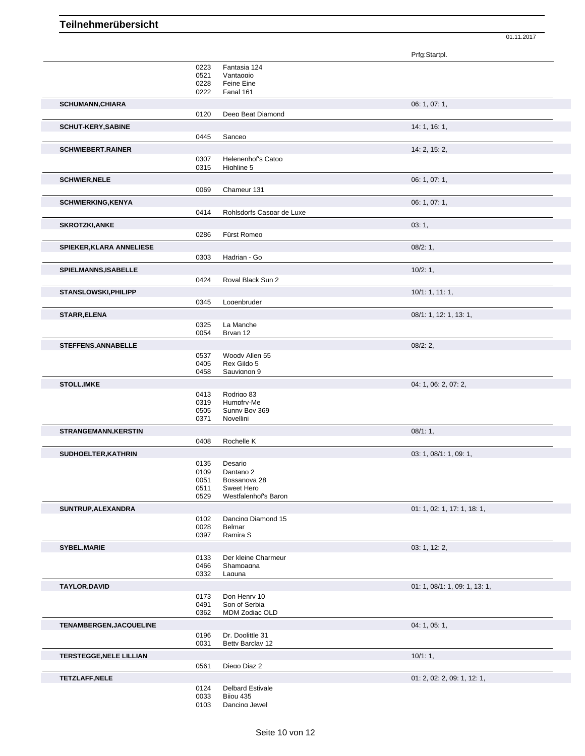|                                 |      |                           | Prfg:Startpl.                 |
|---------------------------------|------|---------------------------|-------------------------------|
|                                 | 0223 | Fantasia 124              |                               |
|                                 | 0521 | Vantaggio                 |                               |
|                                 | 0228 | Feine Eine                |                               |
|                                 | 0222 | Fanal 161                 |                               |
| <b>SCHUMANN, CHIARA</b>         |      |                           | 06: 1, 07: 1,                 |
|                                 | 0120 | Deep Beat Diamond         |                               |
| <b>SCHUT-KERY, SABINE</b>       |      |                           | 14: 1, 16: 1,                 |
|                                 | 0445 | Sanceo                    |                               |
|                                 |      |                           |                               |
| <b>SCHWIEBERT, RAINER</b>       |      |                           | 14: 2, 15: 2,                 |
|                                 | 0307 | Helenenhof's Catoo        |                               |
|                                 | 0315 | Highline 5                |                               |
| <b>SCHWIER, NELE</b>            |      |                           | 06: 1, 07: 1,                 |
|                                 | 0069 | Chameur 131               |                               |
| <b>SCHWIERKING, KENYA</b>       |      |                           | 06: 1, 07: 1,                 |
|                                 | 0414 | Rohlsdorfs Caspar de Luxe |                               |
| <b>SKROTZKI, ANKE</b>           |      |                           | 03:1,                         |
|                                 | 0286 | Fürst Romeo               |                               |
|                                 |      |                           |                               |
| <b>SPIEKER, KLARA ANNELIESE</b> |      |                           | $08/2:1$ ,                    |
|                                 | 0303 | Hadrian - Go              |                               |
| SPIELMANNS, ISABELLE            |      |                           | 10/2:1,                       |
|                                 | 0424 | Roval Black Sun 2         |                               |
| <b>STANSLOWSKI, PHILIPP</b>     |      |                           | 10/1: 1, 11: 1,               |
|                                 | 0345 | Logenbruder               |                               |
|                                 |      |                           |                               |
| <b>STARR, ELENA</b>             |      |                           | 08/1: 1, 12: 1, 13: 1,        |
|                                 | 0325 | La Manche                 |                               |
|                                 | 0054 | Brvan 12                  |                               |
| <b>STEFFENS, ANNABELLE</b>      |      |                           | 08/2:2,                       |
|                                 | 0537 | Woody Allen 55            |                               |
|                                 | 0405 | Rex Gildo 5               |                               |
|                                 | 0458 | Sauvignon 9               |                               |
| <b>STOLL, IMKE</b>              |      |                           | 04: 1, 06: 2, 07: 2,          |
|                                 | 0413 | Rodrigo 83                |                               |
|                                 | 0319 | Humpfrv-Me                |                               |
|                                 | 0505 | Sunny Bov 369             |                               |
|                                 | 0371 | Novellini                 |                               |
| <b>STRANGEMANN, KERSTIN</b>     |      |                           | 08/1:1,                       |
|                                 | 0408 | Rochelle K                |                               |
| SUDHOELTER, KATHRIN             |      |                           | 03: 1, 08/1: 1, 09: 1,        |
|                                 | 0135 | Desario                   |                               |
|                                 | 0109 | Dantano 2                 |                               |
|                                 | 0051 | Bossanova 28              |                               |
|                                 | 0511 | Sweet Hero                |                               |
|                                 | 0529 | Westfalenhof's Baron      |                               |
| SUNTRUP, ALEXANDRA              |      |                           | 01: 1, 02: 1, 17: 1, 18: 1,   |
|                                 | 0102 | Dancing Diamond 15        |                               |
|                                 | 0028 | Belmar                    |                               |
|                                 | 0397 | Ramira S                  |                               |
| SYBEL, MARIE                    |      |                           | 03: 1, 12: 2,                 |
|                                 | 0133 | Der kleine Charmeur       |                               |
|                                 | 0466 | Shampagna                 |                               |
|                                 | 0332 | Laguna                    |                               |
| <b>TAYLOR, DAVID</b>            |      |                           | 01: 1, 08/1: 1, 09: 1, 13: 1, |
|                                 | 0173 | Don Henry 10              |                               |
|                                 | 0491 | Son of Serbia             |                               |
|                                 | 0362 | MDM Zodiac OLD            |                               |
| TENAMBERGEN, JACQUELINE         |      |                           | 04: 1, 05: 1,                 |
|                                 | 0196 | Dr. Doolittle 31          |                               |
|                                 | 0031 | Betty Barclav 12          |                               |
| <b>TERSTEGGE, NELE LILLIAN</b>  |      |                           | 10/1:1,                       |
|                                 | 0561 | Diego Diaz 2              |                               |
| <b>TETZLAFF, NELE</b>           |      |                           | 01: 2, 02: 2, 09: 1, 12: 1,   |
|                                 | 0124 | Delbard Estivale          |                               |
|                                 | 0033 | Biiou 435                 |                               |
|                                 | 0103 | Dancing Jewel             |                               |
|                                 |      |                           |                               |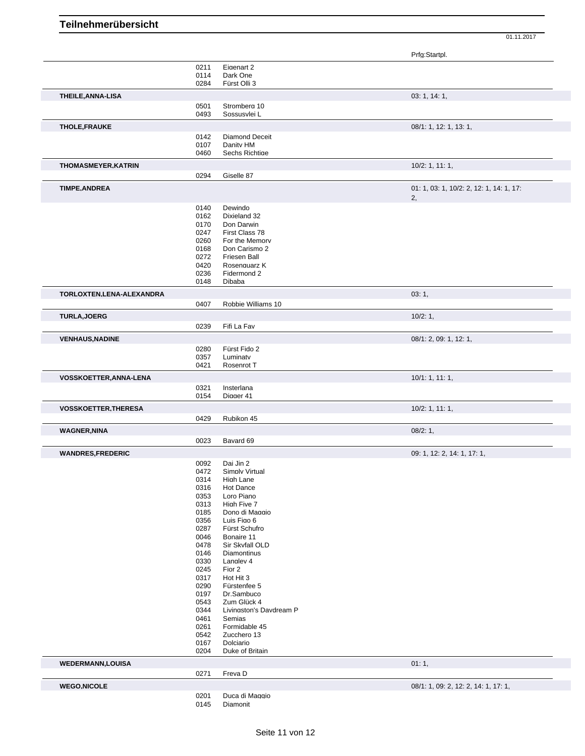|                                                    |              |                            | Prfg:Startpl.                            |
|----------------------------------------------------|--------------|----------------------------|------------------------------------------|
|                                                    |              |                            |                                          |
|                                                    | 0211<br>0114 | Eigenart 2<br>Dark One     |                                          |
|                                                    |              | Fürst Olli 3               |                                          |
|                                                    | 0284         |                            |                                          |
| THEILE, ANNA-LISA                                  |              |                            | 03: 1, 14: 1,                            |
|                                                    | 0501         | Stromberg 10               |                                          |
|                                                    | 0493         | Sossusvlei L               |                                          |
|                                                    |              |                            |                                          |
| <b>THOLE,FRAUKE</b>                                |              |                            | 08/1: 1, 12: 1, 13: 1,                   |
|                                                    | 0142         | Diamond Deceit             |                                          |
|                                                    | 0107         | Danity HM                  |                                          |
|                                                    | 0460         | Sechs Richtige             |                                          |
| <b>THOMASMEYER, KATRIN</b>                         |              |                            | $10/2$ : 1, 11: 1,                       |
|                                                    | 0294         | Giselle 87                 |                                          |
|                                                    |              |                            |                                          |
| <b>TIMPE, ANDREA</b>                               |              |                            | 01: 1, 03: 1, 10/2: 2, 12: 1, 14: 1, 17: |
|                                                    |              |                            | 2,                                       |
|                                                    | 0140         | Dewindo                    |                                          |
|                                                    | 0162         | Dixieland 32               |                                          |
|                                                    | 0170         | Don Darwin                 |                                          |
|                                                    | 0247         | First Class 78             |                                          |
|                                                    | 0260         | For the Memory             |                                          |
|                                                    |              |                            |                                          |
|                                                    | 0168         | Don Carismo 2              |                                          |
|                                                    | 0272         | Friesen Ball               |                                          |
|                                                    | 0420         | Rosenguarz K               |                                          |
|                                                    | 0236         | Fidermond 2                |                                          |
|                                                    | 0148         | Dibaba                     |                                          |
| TORLOXTEN, LENA-ALEXANDRA                          |              |                            | 03:1,                                    |
|                                                    | 0407         | Robbie Williams 10         |                                          |
|                                                    |              |                            |                                          |
| <b>TURLA, JOERG</b>                                |              |                            | 10/2:1,                                  |
|                                                    | 0239         | Fifi La Fav                |                                          |
|                                                    |              |                            |                                          |
| <b>VENHAUS, NADINE</b>                             |              |                            | 08/1: 2, 09: 1, 12: 1,                   |
|                                                    | 0280         | Fürst Fido 2               |                                          |
|                                                    | 0357         | Luminatv                   |                                          |
|                                                    | 0421         | Rosenrot T                 |                                          |
| VOSSKOETTER, ANNA-LENA                             |              |                            | 10/1: 1, 11: 1,                          |
|                                                    | 0321         | Insterlana                 |                                          |
|                                                    |              | Diager 41                  |                                          |
|                                                    |              |                            |                                          |
|                                                    | 0154         |                            |                                          |
| <b>VOSSKOETTER, THERESA</b>                        |              |                            | 10/2: 1, 11: 1,                          |
|                                                    | 0429         | Rubikon 45                 |                                          |
| <b>WAGNER, NINA</b>                                |              |                            | 08/2:1,                                  |
|                                                    |              |                            |                                          |
|                                                    | 0023         | Bavard 69                  |                                          |
|                                                    |              |                            | 09: 1, 12: 2, 14: 1, 17: 1,              |
|                                                    | 0092         | Dai Jin 2                  |                                          |
|                                                    | 0472         | Simply Virtual             |                                          |
|                                                    |              |                            |                                          |
|                                                    | 0314         | High Lane                  |                                          |
|                                                    | 0316         | Hot Dance                  |                                          |
|                                                    | 0353         | Loro Piano                 |                                          |
|                                                    | 0313         | High Five 7                |                                          |
|                                                    | 0185         | Dono di Maggio             |                                          |
|                                                    | 0356         | Luis Figo 6                |                                          |
|                                                    | 0287         | Fürst Schufro              |                                          |
|                                                    | 0046         | Bonaire 11                 |                                          |
|                                                    |              |                            |                                          |
|                                                    | 0478         | Sir Skvfall OLD            |                                          |
|                                                    | 0146         | Diamontinus                |                                          |
|                                                    | 0330         | Langlev 4                  |                                          |
|                                                    | 0245         | Fior 2                     |                                          |
|                                                    | 0317         | Hot Hit 3                  |                                          |
|                                                    | 0290         | Fürstenfee 5               |                                          |
|                                                    | 0197         | Dr.Sambuco                 |                                          |
|                                                    | 0543         | Zum Glück 4                |                                          |
|                                                    | 0344         | Livingston's Davdream P    |                                          |
|                                                    | 0461         | Semias                     |                                          |
|                                                    |              |                            |                                          |
|                                                    | 0261         | Formidable 45              |                                          |
|                                                    | 0542         | Zucchero 13                |                                          |
|                                                    | 0167         | Dolciario                  |                                          |
|                                                    | 0204         | Duke of Britain            |                                          |
| <b>WANDRES,FREDERIC</b><br><b>WEDERMANN,LOUISA</b> |              |                            | 01:1,                                    |
|                                                    | 0271         | Freva D                    |                                          |
|                                                    |              |                            |                                          |
|                                                    |              |                            | 08/1: 1, 09: 2, 12: 2, 14: 1, 17: 1,     |
| <b>WEGO,NICOLE</b>                                 | 0201<br>0145 | Duca di Maggio<br>Diamonit |                                          |